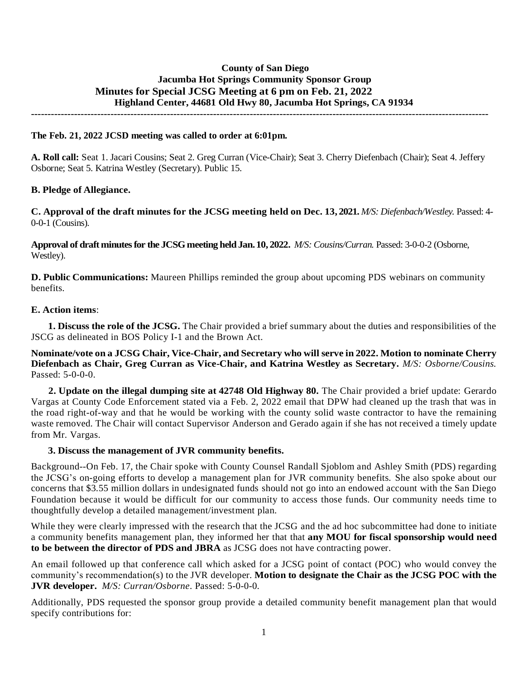# **County of San Diego Jacumba Hot Springs Community Sponsor Group Minutes for Special JCSG Meeting at 6 pm on Feb. 21, 2022 Highland Center, 44681 Old Hwy 80, Jacumba Hot Springs, CA 91934**

**------------------------------------------------------------------------------------------------------------------------------------------**

#### **The Feb. 21, 2022 JCSD meeting was called to order at 6:01pm.**

**A. Roll call:** Seat 1. Jacari Cousins; Seat 2. Greg Curran (Vice-Chair); Seat 3. Cherry Diefenbach (Chair); Seat 4. Jeffery Osborne; Seat 5. Katrina Westley (Secretary). Public 15.

#### **B. Pledge of Allegiance.**

**C. Approval of the draft minutes for the JCSG meeting held on Dec. 13, 2021.** *M/S: Diefenbach/Westley.* Passed: 4- 0-0-1 (Cousins).

**Approval of draft minutes for the JCSG meeting held Jan. 10, 2022.** *M/S: Cousins/Curran.* Passed: 3-0-0-2 (Osborne, Westley).

**D. Public Communications:** Maureen Phillips reminded the group about upcoming PDS webinars on community benefits.

#### **E. Action items**:

**1. Discuss the role of the JCSG.** The Chair provided a brief summary about the duties and responsibilities of the JSCG as delineated in BOS Policy I-1 and the Brown Act.

#### **Nominate/vote on a JCSG Chair, Vice-Chair, and Secretary who will serve in 2022. Motion to nominate Cherry Diefenbach as Chair, Greg Curran as Vice-Chair, and Katrina Westley as Secretary.** *M/S: Osborne/Cousins.*  Passed: 5-0-0-0.

 **2. Update on the illegal dumping site at 42748 Old Highway 80.** The Chair provided a brief update: Gerardo Vargas at County Code Enforcement stated via a Feb. 2, 2022 email that DPW had cleaned up the trash that was in the road right-of-way and that he would be working with the county solid waste contractor to have the remaining waste removed. The Chair will contact Supervisor Anderson and Gerado again if she has not received a timely update from Mr. Vargas.

#### **3. Discuss the management of JVR community benefits.**

Background--On Feb. 17, the Chair spoke with County Counsel Randall Sjoblom and Ashley Smith (PDS) regarding the JCSG's on-going efforts to develop a management plan for JVR community benefits. She also spoke about our concerns that \$3.55 million dollars in undesignated funds should not go into an endowed account with the San Diego Foundation because it would be difficult for our community to access those funds. Our community needs time to thoughtfully develop a detailed management/investment plan.

While they were clearly impressed with the research that the JCSG and the ad hoc subcommittee had done to initiate a community benefits management plan, they informed her that that **any MOU for fiscal sponsorship would need to be between the director of PDS and JBRA** as JCSG does not have contracting power.

An email followed up that conference call which asked for a JCSG point of contact (POC) who would convey the community's recommendation(s) to the JVR developer. **Motion to designate the Chair as the JCSG POC with the JVR developer.** *M/S: Curran/Osborne*. Passed: 5-0-0-0.

Additionally, PDS requested the sponsor group provide a detailed community benefit management plan that would specify contributions for: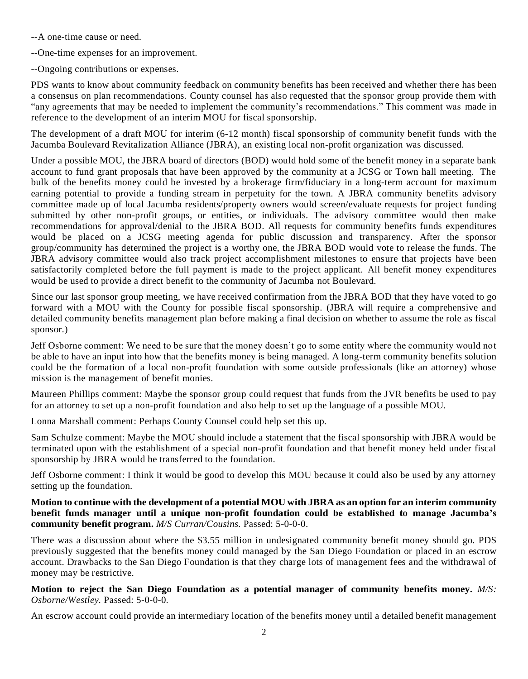- --A one-time cause or need.
- --One-time expenses for an improvement.
- --Ongoing contributions or expenses.

PDS wants to know about community feedback on community benefits has been received and whether there has been a consensus on plan recommendations. County counsel has also requested that the sponsor group provide them with "any agreements that may be needed to implement the community's recommendations." This comment was made in reference to the development of an interim MOU for fiscal sponsorship.

The development of a draft MOU for interim (6-12 month) fiscal sponsorship of community benefit funds with the Jacumba Boulevard Revitalization Alliance (JBRA), an existing local non-profit organization was discussed.

Under a possible MOU, the JBRA board of directors (BOD) would hold some of the benefit money in a separate bank account to fund grant proposals that have been approved by the community at a JCSG or Town hall meeting. The bulk of the benefits money could be invested by a brokerage firm/fiduciary in a long-term account for maximum earning potential to provide a funding stream in perpetuity for the town. A JBRA community benefits advisory committee made up of local Jacumba residents/property owners would screen/evaluate requests for project funding submitted by other non-profit groups, or entities, or individuals. The advisory committee would then make recommendations for approval/denial to the JBRA BOD. All requests for community benefits funds expenditures would be placed on a JCSG meeting agenda for public discussion and transparency. After the sponsor group/community has determined the project is a worthy one, the JBRA BOD would vote to release the funds. The JBRA advisory committee would also track project accomplishment milestones to ensure that projects have been satisfactorily completed before the full payment is made to the project applicant. All benefit money expenditures would be used to provide a direct benefit to the community of Jacumba not Boulevard.

Since our last sponsor group meeting, we have received confirmation from the JBRA BOD that they have voted to go forward with a MOU with the County for possible fiscal sponsorship. (JBRA will require a comprehensive and detailed community benefits management plan before making a final decision on whether to assume the role as fiscal sponsor.)

Jeff Osborne comment: We need to be sure that the money doesn't go to some entity where the community would not be able to have an input into how that the benefits money is being managed. A long-term community benefits solution could be the formation of a local non-profit foundation with some outside professionals (like an attorney) whose mission is the management of benefit monies.

Maureen Phillips comment: Maybe the sponsor group could request that funds from the JVR benefits be used to pay for an attorney to set up a non-profit foundation and also help to set up the language of a possible MOU.

Lonna Marshall comment: Perhaps County Counsel could help set this up.

Sam Schulze comment: Maybe the MOU should include a statement that the fiscal sponsorship with JBRA would be terminated upon with the establishment of a special non-profit foundation and that benefit money held under fiscal sponsorship by JBRA would be transferred to the foundation.

Jeff Osborne comment: I think it would be good to develop this MOU because it could also be used by any attorney setting up the foundation.

**Motion to continue with the development of a potential MOU with JBRA as an option for an interim community benefit funds manager until a unique non-profit foundation could be established to manage Jacumba's community benefit program.** *M/S Curran/Cousins.* Passed: 5-0-0-0.

There was a discussion about where the \$3.55 million in undesignated community benefit money should go. PDS previously suggested that the benefits money could managed by the San Diego Foundation or placed in an escrow account. Drawbacks to the San Diego Foundation is that they charge lots of management fees and the withdrawal of money may be restrictive.

**Motion to reject the San Diego Foundation as a potential manager of community benefits money.** *M/S: Osborne/Westley.* Passed: 5-0-0-0.

An escrow account could provide an intermediary location of the benefits money until a detailed benefit management